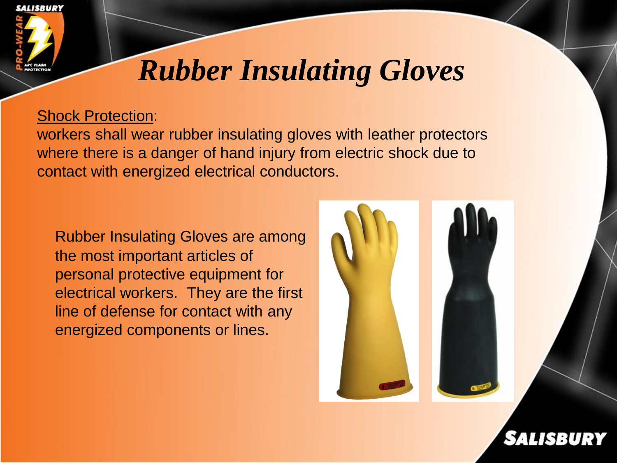

# *Rubber Insulating Gloves*

#### Shock Protection:

workers shall wear rubber insulating gloves with leather protectors where there is a danger of hand injury from electric shock due to contact with energized electrical conductors.

Rubber Insulating Gloves are among the most important articles of personal protective equipment for electrical workers. They are the first line of defense for contact with any energized components or lines.

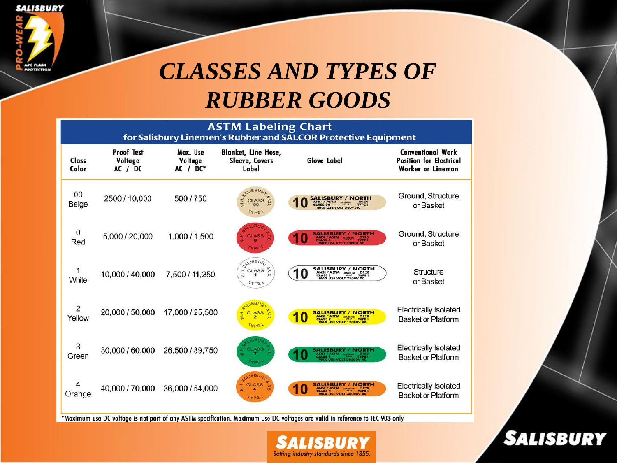**SALISBURY** 



## **CLASSES AND TYPES OF RUBBER GOODS**

ASTM Labeling Chart<br>for Salisbury Linemen's Rubber and SALCOR Protective Equipment

| Class<br>Color           | <b>Proof Test</b><br>Voltage<br>AC / DC | Max. Use<br>Voltage<br>$AC / DC*$ | <b>Blanket, Line Hose,</b><br><b>Sleeve, Covers</b><br>Label       | <b>Glove Label</b>                                                                   | <b>Conventional Work</b><br><b>Position for Electrical</b><br><b>Worker or Lineman</b> |
|--------------------------|-----------------------------------------|-----------------------------------|--------------------------------------------------------------------|--------------------------------------------------------------------------------------|----------------------------------------------------------------------------------------|
| 00<br>Beige              | 2500 / 10,000                           | 500/750                           | SALISBU<br><b>CLASS</b><br>S<br>00<br>TYPE <sup>1</sup>            | <b>SALISBURY / NORTH</b><br><b>VOLT 500V</b>                                         | Ground, Structure<br>or Basket                                                         |
| $\mathbf{0}$<br>Red      | 5,000 / 20,000                          | 1,000 / 1,500                     | <b>CLASS</b><br><b>TYPE</b>                                        | <b>SALISBURY / NORTH</b><br>u<br>MADE IN DI20                                        | Ground, Structure<br>or Basket                                                         |
| 1<br>White               | 10,000 / 40,000                         | 7,500 / 11,250                    | SALISBURL<br>600<br>$\frac{x}{3}$ CLASS<br>TYPE <sup>1</sup>       | <b>SALISBURY / NORTH</b><br>CLASS 1<br>CLASS 1<br>MAX USE VOLT 7500V AC<br>0         | Structure<br>or Basket                                                                 |
| $\overline{2}$<br>Yellow | 20,000 / 50,000                         | 17,000 / 25,500                   | $1$ SB<br>CLASS <sup>2</sup><br>н,<br>$\circ$<br>TYPE <sup>1</sup> | <b>SALISBURY / NORTH</b><br>CLASS 2 <sup>51M</sup> HOLER PRESS<br>USE VOLT 17000V AC | <b>Electrically Isolated</b><br><b>Basket or Platform</b>                              |
| 3<br>Green               | 30,000 / 60,000                         | 26,500 / 39,750                   | LISBU.<br>CLASS<br>TYPE <sup>1</sup>                               | <b>SALISBURY</b> /<br>' NORTH                                                        | <b>Electrically Isolated</b><br><b>Basket or Platform</b>                              |
| 4<br>Orange              | 40,000 / 70,000                         | 36,000 / 54,000                   | ALISBU <sub>R</sub><br><b>CLASS</b><br>TYPE <sup>'</sup>           | <b>SALISBURY / NORTH</b><br><b>D120</b><br>TYPE I                                    | <b>Electrically Isolated</b><br><b>Basket or Platform</b>                              |

\*Maximum use DC voltage is not part of any ASTM specification. Maximum use DC voltages are valid in reference to IEC 903 only



**SALISBURY**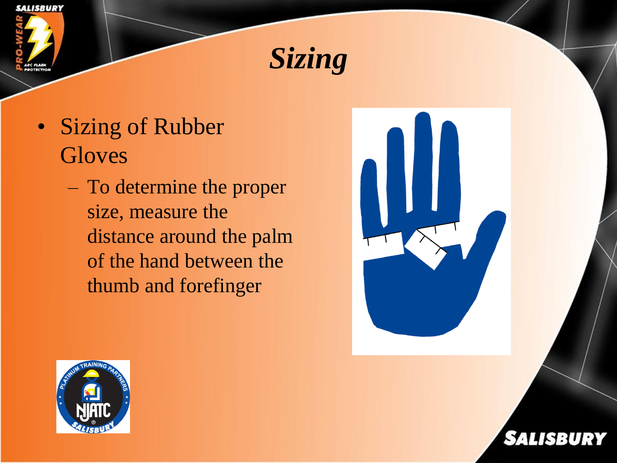



- Sizing of Rubber **Gloves** 
	- To determine the proper size, measure the distance around the palm of the hand between the thumb and forefinger





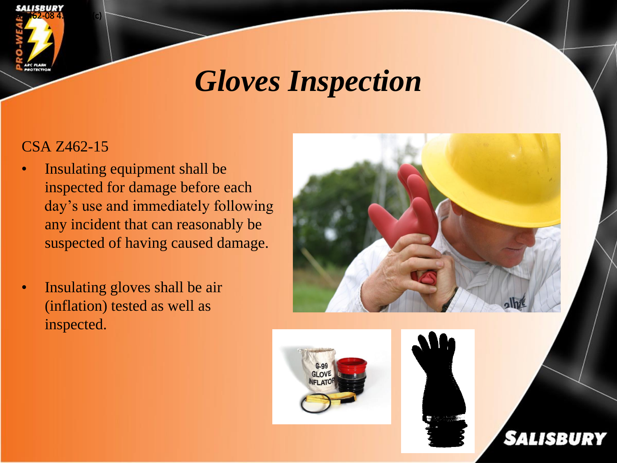

## *Gloves Inspection*

### CSA Z462-15

- Insulating equipment shall be inspected for damage before each day's use and immediately following any incident that can reasonably be suspected of having caused damage.
- Insulating gloves shall be air (inflation) tested as well as inspected.







**SALISBURY**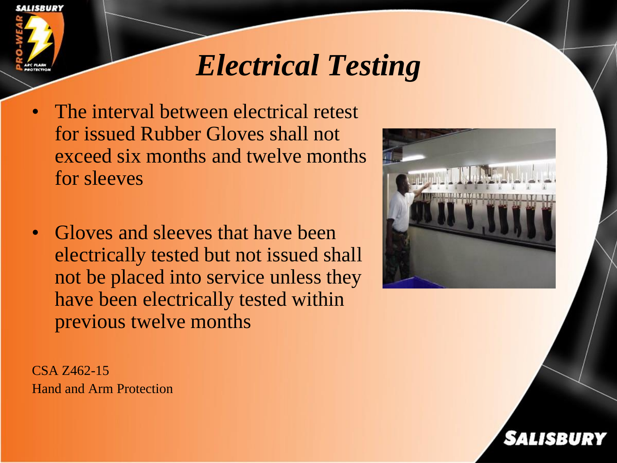

# *Electrical Testing*

- The interval between electrical retest for issued Rubber Gloves shall not exceed six months and twelve months for sleeves
- Gloves and sleeves that have been electrically tested but not issued shall not be placed into service unless they have been electrically tested within previous twelve months

CSA Z462-15 Hand and Arm Protection